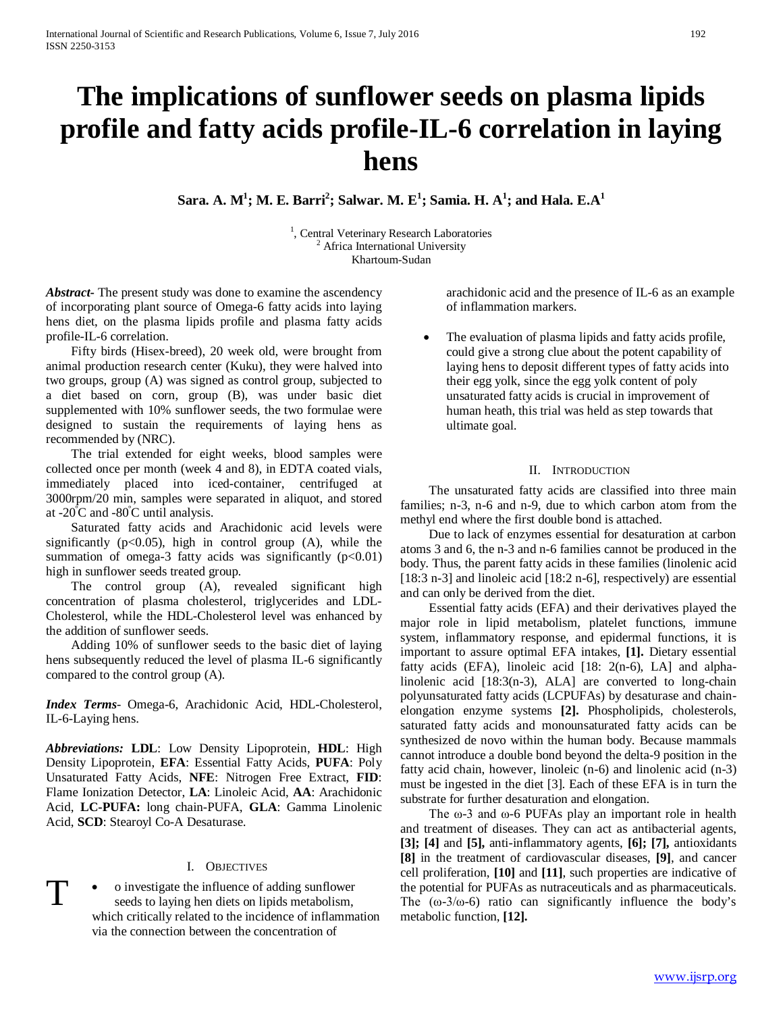# **The implications of sunflower seeds on plasma lipids profile and fatty acids profile-IL-6 correlation in laying hens**

 $\mathbf{Sara.\ A.\ M^1; M.\ E.\ Barri^2; \mathbf{Salwar.\ M.\ E^1; \mathbf{Samia.\ H.\ A^1; and Hala.\ E.A^1;$ 

<sup>1</sup>, Central Veterinary Research Laboratories<sup>2</sup> Africa International University Khartoum-Sudan

*Abstract***-** The present study was done to examine the ascendency of incorporating plant source of Omega-6 fatty acids into laying hens diet, on the plasma lipids profile and plasma fatty acids profile-IL-6 correlation.

 Fifty birds (Hisex-breed), 20 week old, were brought from animal production research center (Kuku), they were halved into two groups, group (A) was signed as control group, subjected to a diet based on corn, group (B), was under basic diet supplemented with 10% sunflower seeds, the two formulae were designed to sustain the requirements of laying hens as recommended by (NRC).

 The trial extended for eight weeks, blood samples were collected once per month (week 4 and 8), in EDTA coated vials, immediately placed into iced-container, centrifuged at 3000rpm/20 min, samples were separated in aliquot, and stored at -20 $\rm ^{o}C$  and -80 $\rm ^{o}C$  until analysis.

 Saturated fatty acids and Arachidonic acid levels were significantly  $(p<0.05)$ , high in control group  $(A)$ , while the summation of omega-3 fatty acids was significantly  $(p<0.01)$ high in sunflower seeds treated group.

 The control group (A), revealed significant high concentration of plasma cholesterol, triglycerides and LDL-Cholesterol, while the HDL-Cholesterol level was enhanced by the addition of sunflower seeds.

 Adding 10% of sunflower seeds to the basic diet of laying hens subsequently reduced the level of plasma IL-6 significantly compared to the control group (A).

*Index Terms*- Omega-6, Arachidonic Acid, HDL-Cholesterol, IL-6-Laying hens.

*Abbreviations:* **LDL**: Low Density Lipoprotein, **HDL**: High Density Lipoprotein, **EFA**: Essential Fatty Acids, **PUFA**: Poly Unsaturated Fatty Acids, **NFE**: Nitrogen Free Extract, **FID**: Flame Ionization Detector, **LA**: Linoleic Acid, **AA**: Arachidonic Acid, **LC-PUFA:** long chain-PUFA, **GLA**: Gamma Linolenic Acid, **SCD**: Stearoyl Co-A Desaturase.

#### I. OBJECTIVES

T

• o investigate the influence of adding sunflower seeds to laying hen diets on lipids metabolism, which critically related to the incidence of inflammation via the connection between the concentration of

arachidonic acid and the presence of IL-6 as an example of inflammation markers.

The evaluation of plasma lipids and fatty acids profile, could give a strong clue about the potent capability of laying hens to deposit different types of fatty acids into their egg yolk, since the egg yolk content of poly unsaturated fatty acids is crucial in improvement of human heath, this trial was held as step towards that ultimate goal.

#### II. INTRODUCTION

 The unsaturated fatty acids are classified into three main families; n-3, n-6 and n-9, due to which carbon atom from the methyl end where the first double bond is attached.

 Due to lack of enzymes essential for desaturation at carbon atoms 3 and 6, the n-3 and n-6 families cannot be produced in the body. Thus, the parent fatty acids in these families (linolenic acid [18:3 n-3] and linoleic acid [18:2 n-6], respectively) are essential and can only be derived from the diet.

 Essential fatty acids (EFA) and their derivatives played the major role in lipid metabolism, platelet functions, immune system, inflammatory response, and epidermal functions, it is important to assure optimal EFA intakes, **[1].** Dietary essential fatty acids (EFA), linoleic acid [18: 2(n-6), LA] and alphalinolenic acid [18:3(n-3), ALA] are converted to long-chain polyunsaturated fatty acids (LCPUFAs) by desaturase and chainelongation enzyme systems **[2].** Phospholipids, cholesterols, saturated fatty acids and monounsaturated fatty acids can be synthesized de novo within the human body. Because mammals cannot introduce a double bond beyond the delta-9 position in the fatty acid chain, however, linoleic (n-6) and linolenic acid (n-3) must be ingested in the diet [3]. Each of these EFA is in turn the substrate for further desaturation and elongation.

The  $\omega$ -3 and  $\omega$ -6 PUFAs play an important role in health and treatment of diseases. They can act as antibacterial agents, **[3]; [4]** and **[5],** anti-inflammatory agents, **[6]; [7],** antioxidants **[8]** in the treatment of cardiovascular diseases, **[9]**, and cancer cell proliferation, **[10]** and **[11]**, such properties are indicative of the potential for PUFAs as nutraceuticals and as pharmaceuticals. The  $(\omega - 3/\omega - 6)$  ratio can significantly influence the body's metabolic function, **[12].**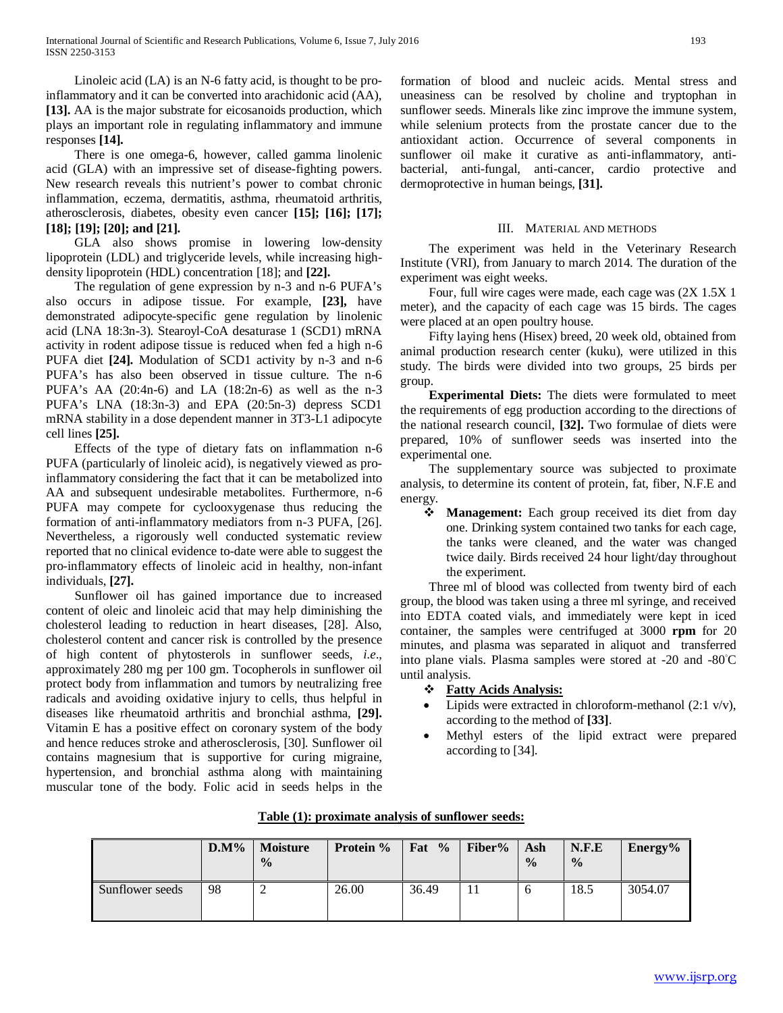Linoleic acid (LA) is an N-6 fatty acid, is thought to be proinflammatory and it can be converted into arachidonic acid (AA), **[13].** AA is the major substrate for eicosanoids production, which plays an important role in regulating inflammatory and immune responses **[14].**

 There is one omega-6, however, called gamma linolenic acid (GLA) with an impressive set of disease-fighting powers. New research reveals this nutrient's power to combat chronic inflammation, eczema, dermatitis, asthma, rheumatoid arthritis, atherosclerosis, diabetes, obesity even cancer **[15]; [16]; [17]; [18]; [19]; [20]; and [21].**

 GLA also shows promise in lowering low-density lipoprotein (LDL) and triglyceride levels, while increasing highdensity lipoprotein (HDL) concentration [18]; and **[22].**

 The regulation of gene expression by n-3 and n-6 PUFA's also occurs in adipose tissue. For example, **[23],** have demonstrated adipocyte-specific gene regulation by linolenic acid (LNA 18:3n-3). Stearoyl-CoA desaturase 1 (SCD1) mRNA activity in rodent adipose tissue is reduced when fed a high n-6 PUFA diet **[24].** Modulation of SCD1 activity by n-3 and n-6 PUFA's has also been observed in tissue culture. The n-6 PUFA's AA (20:4n-6) and LA (18:2n-6) as well as the n-3 PUFA's LNA (18:3n-3) and EPA (20:5n-3) depress SCD1 mRNA stability in a dose dependent manner in 3T3-L1 adipocyte cell lines **[25].**

 Effects of the type of dietary fats on inflammation n-6 PUFA (particularly of linoleic acid), is negatively viewed as proinflammatory considering the fact that it can be metabolized into AA and subsequent undesirable metabolites. Furthermore, n-6 PUFA may compete for cyclooxygenase thus reducing the formation of anti-inflammatory mediators from n-3 PUFA, [26]. Nevertheless, a rigorously well conducted systematic review reported that no clinical evidence to-date were able to suggest the pro-inflammatory effects of linoleic acid in healthy, non-infant individuals, **[27].**

 Sunflower oil has gained importance due to increased content of oleic and linoleic acid that may help diminishing the cholesterol leading to reduction in heart diseases, [28]. Also, cholesterol content and cancer risk is controlled by the presence of high content of phytosterols in sunflower seeds, *i.e*., approximately 280 mg per 100 gm. Tocopherols in sunflower oil protect body from inflammation and tumors by neutralizing free radicals and avoiding oxidative injury to cells, thus helpful in diseases like rheumatoid arthritis and bronchial asthma, **[29].** Vitamin E has a positive effect on coronary system of the body and hence reduces stroke and atherosclerosis, [30]. Sunflower oil contains magnesium that is supportive for curing migraine, hypertension, and bronchial asthma along with maintaining muscular tone of the body. Folic acid in seeds helps in the formation of blood and nucleic acids. Mental stress and uneasiness can be resolved by choline and tryptophan in sunflower seeds. Minerals like zinc improve the immune system, while selenium protects from the prostate cancer due to the antioxidant action. Occurrence of several components in sunflower oil make it curative as anti-inflammatory, antibacterial, anti-fungal, anti-cancer, cardio protective and dermoprotective in human beings, **[31].**

#### III. MATERIAL AND METHODS

 The experiment was held in the Veterinary Research Institute (VRI), from January to march 2014. The duration of the experiment was eight weeks.

 Four, full wire cages were made, each cage was (2X 1.5X 1 meter), and the capacity of each cage was 15 birds. The cages were placed at an open poultry house.

 Fifty laying hens (Hisex) breed, 20 week old, obtained from animal production research center (kuku), were utilized in this study. The birds were divided into two groups, 25 birds per group.

 **Experimental Diets:** The diets were formulated to meet the requirements of egg production according to the directions of the national research council, **[32].** Two formulae of diets were prepared, 10% of sunflower seeds was inserted into the experimental one.

 The supplementary source was subjected to proximate analysis, to determine its content of protein, fat, fiber, N.F.E and energy.

 **Management:** Each group received its diet from day one. Drinking system contained two tanks for each cage, the tanks were cleaned, and the water was changed twice daily. Birds received 24 hour light/day throughout the experiment.

 Three ml of blood was collected from twenty bird of each group, the blood was taken using a three ml syringe, and received into EDTA coated vials, and immediately were kept in iced container, the samples were centrifuged at 3000 **rpm** for 20 minutes, and plasma was separated in aliquot and transferred into plane vials. Plasma samples were stored at -20 and -80°C until analysis.

- *<sup>U</sup>***Fatty Acids Analysis:**
- Lipids were extracted in chloroform-methanol  $(2:1 \text{ v/v})$ , according to the method of **[33]**.
- Methyl esters of the lipid extract were prepared according to [34].

|                 | $\mathbf{D}.\mathbf{M}\%$ | <b>Moisture</b><br>$\frac{0}{0}$ | Protein % | Fat $%$ | Fiber% | Ash<br>$\frac{0}{0}$ | N.F.E<br>$\frac{0}{0}$ | Energy $%$ |
|-----------------|---------------------------|----------------------------------|-----------|---------|--------|----------------------|------------------------|------------|
| Sunflower seeds | 98                        |                                  | 26.00     | 36.49   |        | O                    | 18.5                   | 3054.07    |

#### **Table** (1): proximate analysis of sunflower seeds: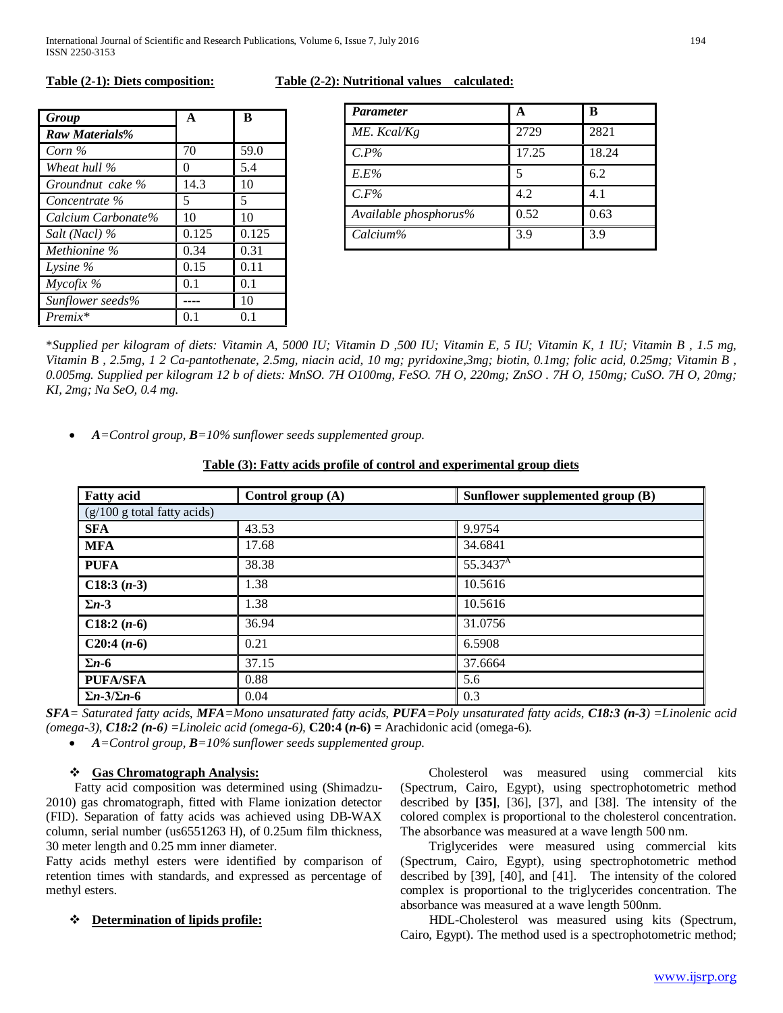| Group                 | $\mathbf{A}$ | B     |  |
|-----------------------|--------------|-------|--|
| <b>Raw Materials%</b> |              |       |  |
| Corn $\%$             | 70           | 59.0  |  |
| Wheat hull %          | 0            | 5.4   |  |
| Groundnut cake %      | 14.3         | 10    |  |
| Concentrate %         | 5            | 5     |  |
| Calcium Carbonate%    | 10           | 10    |  |
| Salt (Nacl) %         | 0.125        | 0.125 |  |
| Methionine %          | 0.34         | 0.31  |  |
| Lysine $\%$           | 0.15         | 0.11  |  |
| $M$ ycofix %          | 0.1          | 0.1   |  |
| Sunflower seeds%      |              | 10    |  |
| $Premix*$             | 01           | O 1   |  |

#### **Table (2-1): Diets composition: Table (2-2): Nutritional values calculated:**

| <i>Parameter</i>      | A     | в     |
|-----------------------|-------|-------|
| ME. Kcal/Kg           | 2729  | 2821  |
| $C.P\%$               | 17.25 | 18.24 |
| $E.E\%$               | 5     | 6.2   |
| $C.F\%$               | 4.2   | 4.1   |
| Available phosphorus% | 0.52  | 0.63  |
| Calcium%              | 3.9   | 3.9   |

\**Supplied per kilogram of diets: Vitamin A, 5000 IU; Vitamin D ,500 IU; Vitamin E, 5 IU; Vitamin K, 1 IU; Vitamin B , 1.5 mg, Vitamin B , 2.5mg, 1 2 Ca-pantothenate, 2.5mg, niacin acid, 10 mg; pyridoxine,3mg; biotin, 0.1mg; folic acid, 0.25mg; Vitamin B , 0.005mg. Supplied per kilogram 12 b of diets: MnSO. 7H O100mg, FeSO. 7H O, 220mg; ZnSO . 7H O, 150mg; CuSO. 7H O, 20mg; KI, 2mg; Na SeO, 0.4 mg.*

• *A=Control group, B=10% sunflower seeds supplemented group.*

#### **Table (3): Fatty acids profile of control and experimental group diets**

| <b>Fatty acid</b>              | Control group (A) | Sunflower supplemented group (B) |  |  |  |
|--------------------------------|-------------------|----------------------------------|--|--|--|
| $(g/100 g)$ total fatty acids) |                   |                                  |  |  |  |
| <b>SFA</b>                     | 43.53             | 9.9754                           |  |  |  |
| <b>MFA</b>                     | 17.68             | 34.6841                          |  |  |  |
| <b>PUFA</b>                    | 38.38             | 55.3437 <sup>A</sup>             |  |  |  |
| $C18:3(n-3)$                   | 1.38              | 10.5616                          |  |  |  |
| $\Sigma$ n-3                   | 1.38              | 10.5616                          |  |  |  |
| $C18:2(n-6)$                   | 36.94             | 31.0756                          |  |  |  |
| $C20:4(n-6)$                   | 0.21              | 6.5908                           |  |  |  |
| $\Sigma$ <i>n</i> -6           | 37.15             | 37.6664                          |  |  |  |
| <b>PUFA/SFA</b>                | 0.88              | 5.6                              |  |  |  |
| $\Sigma$ n-3/ $\Sigma$ n-6     | 0.04              | 0.3                              |  |  |  |

*SFA= Saturated fatty acids, MFA=Mono unsaturated fatty acids, PUFA=Poly unsaturated fatty acids, C18:3 (n-3) =Linolenic acid (omega-3), C18:2 (n-6) =Linoleic acid (omega-6),* **C20:4 (***n***-6) =** Arachidonic acid (omega-6).

• *A=Control group, B=10% sunflower seeds supplemented group.*

## *<sup>U</sup>***Gas Chromatograph Analysis:**

 Fatty acid composition was determined using (Shimadzu-2010) gas chromatograph, fitted with Flame ionization detector (FID). Separation of fatty acids was achieved using DB-WAX column, serial number (us6551263 H), of 0.25um film thickness, 30 meter length and 0.25 mm inner diameter.

Fatty acids methyl esters were identified by comparison of retention times with standards, and expressed as percentage of methyl esters.

## *❖* <u>Determination of lipids profile:</u>

 Cholesterol was measured using commercial kits (Spectrum, Cairo, Egypt), using spectrophotometric method described by **[35]**, [36], [37], and [38]. The intensity of the colored complex is proportional to the cholesterol concentration. The absorbance was measured at a wave length 500 nm.

 Triglycerides were measured using commercial kits (Spectrum, Cairo, Egypt), using spectrophotometric method described by [39], [40], and [41]. The intensity of the colored complex is proportional to the triglycerides concentration. The absorbance was measured at a wave length 500nm.

 HDL-Cholesterol was measured using kits (Spectrum, Cairo, Egypt). The method used is a spectrophotometric method;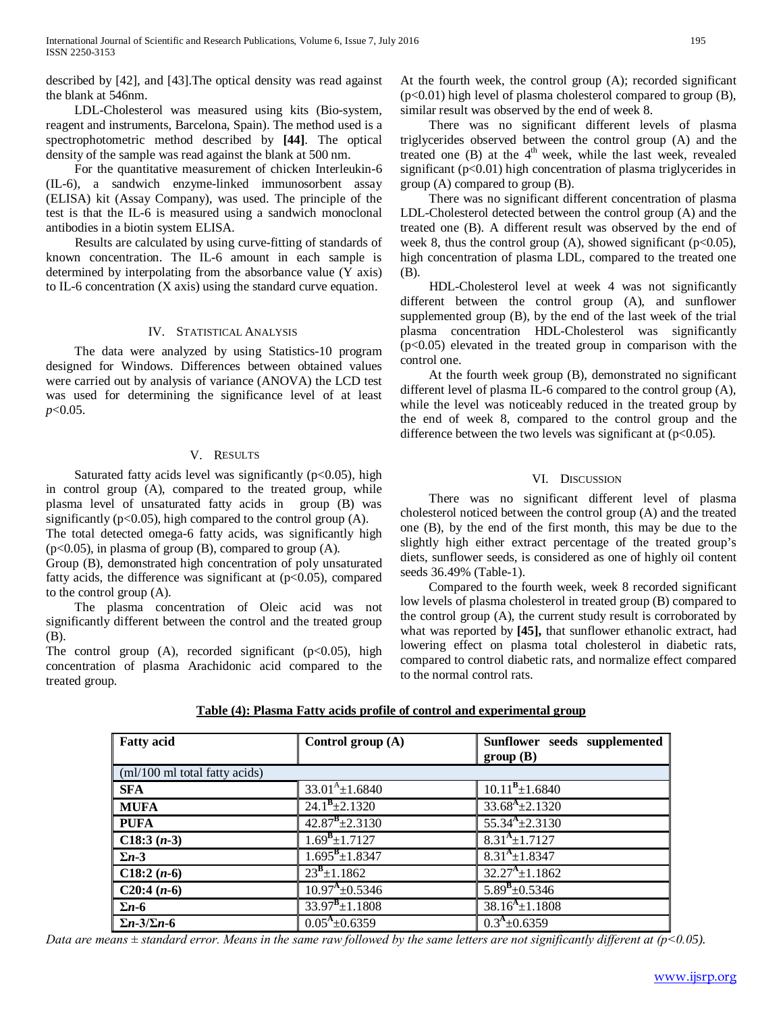described by [42], and [43].The optical density was read against the blank at 546nm.

 LDL-Cholesterol was measured using kits (Bio-system, reagent and instruments, Barcelona, Spain). The method used is a spectrophotometric method described by **[44]**. The optical density of the sample was read against the blank at 500 nm.

 For the quantitative measurement of chicken Interleukin-6 (IL-6), a sandwich enzyme-linked immunosorbent assay (ELISA) kit (Assay Company), was used. The principle of the test is that the IL-6 is measured using a sandwich monoclonal antibodies in a biotin system ELISA.

 Results are calculated by using curve-fitting of standards of known concentration. The IL-6 amount in each sample is determined by interpolating from the absorbance value (Y axis) to IL-6 concentration (X axis) using the standard curve equation.

#### IV. STATISTICAL ANALYSIS

 The data were analyzed by using Statistics-10 program designed for Windows. Differences between obtained values were carried out by analysis of variance (ANOVA) the LCD test was used for determining the significance level of at least *p*<0.05.

#### V. RESULTS

Saturated fatty acids level was significantly (p<0.05), high in control group (A), compared to the treated group, while plasma level of unsaturated fatty acids in group (B) was significantly ( $p<0.05$ ), high compared to the control group (A).

The total detected omega-6 fatty acids, was significantly high  $(p<0.05)$ , in plasma of group (B), compared to group (A).

Group (B), demonstrated high concentration of poly unsaturated fatty acids, the difference was significant at  $(p<0.05)$ , compared to the control group (A).

 The plasma concentration of Oleic acid was not significantly different between the control and the treated group (B).

The control group  $(A)$ , recorded significant  $(p<0.05)$ , high concentration of plasma Arachidonic acid compared to the treated group.

At the fourth week, the control group (A); recorded significant (p<0.01) high level of plasma cholesterol compared to group (B), similar result was observed by the end of week 8.

 There was no significant different levels of plasma triglycerides observed between the control group (A) and the treated one  $(B)$  at the  $4<sup>th</sup>$  week, while the last week, revealed significant ( $p<0.01$ ) high concentration of plasma triglycerides in group (A) compared to group (B).

 There was no significant different concentration of plasma LDL-Cholesterol detected between the control group (A) and the treated one (B). A different result was observed by the end of week 8, thus the control group (A), showed significant ( $p<0.05$ ), high concentration of plasma LDL, compared to the treated one (B).

 HDL-Cholesterol level at week 4 was not significantly different between the control group (A), and sunflower supplemented group (B), by the end of the last week of the trial plasma concentration HDL-Cholesterol was significantly  $(p<0.05)$  elevated in the treated group in comparison with the control one.

 At the fourth week group (B), demonstrated no significant different level of plasma IL-6 compared to the control group (A), while the level was noticeably reduced in the treated group by the end of week 8, compared to the control group and the difference between the two levels was significant at  $(p<0.05)$ .

#### VI. DISCUSSION

 There was no significant different level of plasma cholesterol noticed between the control group (A) and the treated one (B), by the end of the first month, this may be due to the slightly high either extract percentage of the treated group's diets, sunflower seeds, is considered as one of highly oil content seeds 36.49% (Table-1).

 Compared to the fourth week, week 8 recorded significant low levels of plasma cholesterol in treated group (B) compared to the control group (A), the current study result is corroborated by what was reported by **[45],** that sunflower ethanolic extract, had lowering effect on plasma total cholesterol in diabetic rats, compared to control diabetic rats, and normalize effect compared to the normal control rats.

| Table (4): Plasma Fatty acids profile of control and experimental group |  |
|-------------------------------------------------------------------------|--|
|-------------------------------------------------------------------------|--|

| <b>Fatty acid</b>             | Control group $(A)$            | Sunflower seeds supplemented<br>group(B) |  |  |
|-------------------------------|--------------------------------|------------------------------------------|--|--|
| (ml/100 ml total fatty acids) |                                |                                          |  |  |
| <b>SFA</b>                    | $33.01^{A} \pm 1.6840$         | $\overline{10.11^B} \pm 1.6840$          |  |  |
| <b>MUFA</b>                   | $24.1^{\text{B}}\pm 2.1320$    | $33.68^{A} \pm 2.1320$                   |  |  |
| <b>PUFA</b>                   | $42.87^{\text{B}}\pm 2.3130$   | $55.34^{A} \pm 2.3130$                   |  |  |
| $C18:3(n-3)$                  | $1.69^{\rm B} \pm 1.7127$      | $8.31A \pm 1.7127$                       |  |  |
| $\Sigma$ n-3                  | $1.695^{\text{B}} \pm 1.8347$  | $8.31^{A} \pm 1.8347$                    |  |  |
| C18:2 $(n-6)$                 | $23^{\frac{B}{2}} \pm 1.1862$  | $32.27^{A} \pm 1.1862$                   |  |  |
| C20:4 $(n-6)$                 | $10.97^{\mathrm{A}}\pm 0.5346$ | $5.89^{B} \pm 0.5346$                    |  |  |
| $\Sigma$ <i>n</i> -6          | $33.97^{\text{B}} \pm 1.1808$  | $38.16^{A} \pm 1.1808$                   |  |  |
| $\Sigma$ n-3/ $\Sigma$ n-6    | $0.05^{A} \pm 0.6359$          | $0.3A \pm 0.6359$                        |  |  |

*Data are means ± standard error. Means in the same raw followed by the same letters are not significantly different at (p˂0.05).*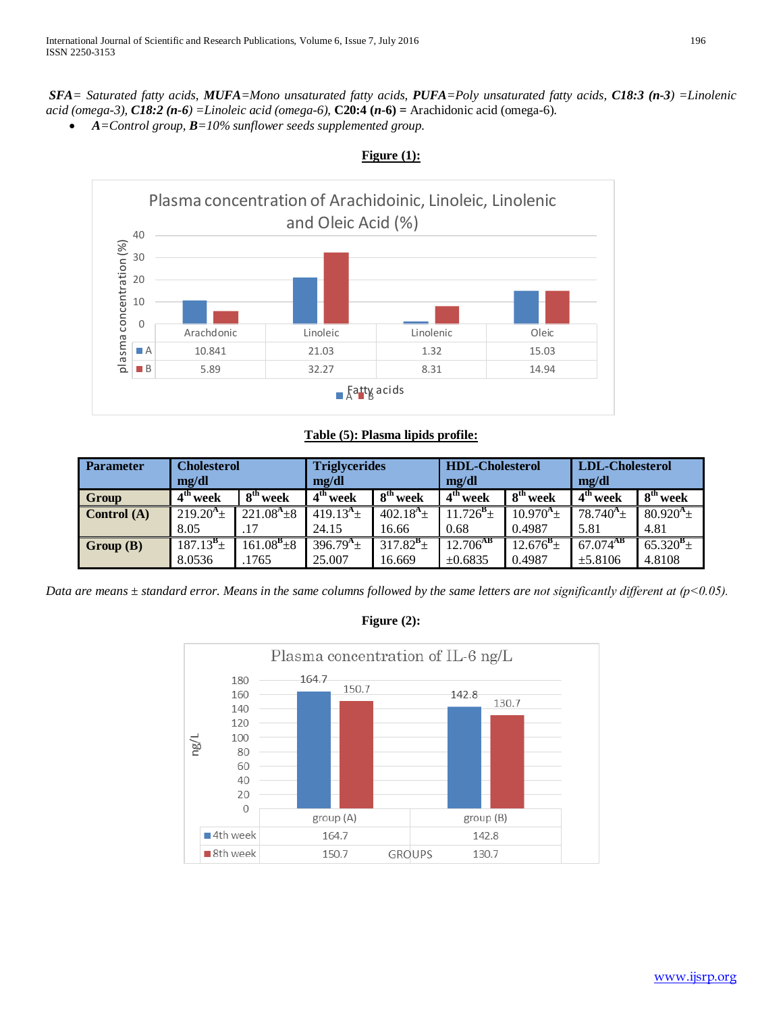*SFA= Saturated fatty acids, MUFA=Mono unsaturated fatty acids, PUFA=Poly unsaturated fatty acids, C18:3 (n-3) =Linolenic acid (omega-3), C18:2 (n-6) =Linoleic acid (omega-6),* **C20:4 (***n***-6) =** Arachidonic acid (omega-6).

• *A=Control group, B=10% sunflower seeds supplemented group.*



# **Figure (1):**

# **Table (5): Plasma lipids profile:**

| <b>Parameter</b> | <b>Cholesterol</b><br>mg/dl |                      | <b>Triglycerides</b><br>mg/dl |                      | <b>HDL-Cholesterol</b><br>mg/dl |                      | <b>LDL-Cholesterol</b><br>mg/dl |                      |
|------------------|-----------------------------|----------------------|-------------------------------|----------------------|---------------------------------|----------------------|---------------------------------|----------------------|
| Group            | 4 <sup>th</sup> week        | 8 <sup>th</sup> week | 4 <sup>th</sup> week          | 8 <sup>th</sup> week | 4 <sup>th</sup> week            | 8 <sup>th</sup> week | 4 <sup>th</sup> week            | 8 <sup>th</sup> week |
| Control $(A)$    | $219.20^{4}$ ±              | $221.08^{A} \pm 8$   | 419.13 <sup>A</sup> $\pm$     | $402.18^{A_{\pm}}$   | $11.726^{\rm B}$ ±              | $10.970^{A_{\pm}}$   | $78.740^4 \pm$                  | $80.920^{4}$ ±       |
|                  | 8.05                        | .17                  | 24.15                         | 16.66                | 0.68                            | 0.4987               | 5.81                            | 4.81                 |
| Group(B)         | $187.13^b \pm$              | $161.08^{B_{\pm 8}}$ | $396.79^{A_{\pm}}$            | $317.82^{6}$ ±       | $12.706^{AB}$                   | $12.676^{\rm B}$ ±   | $67.074^{AB}$                   | $65.320^{B_{\pm}}$   |
|                  | 8.0536                      | 1765                 | 25.007                        | 16.669               | $\pm 0.6835$                    | 0.4987               | $\pm 5.8106$                    | 4.8108               |

*Data are means ± standard error. Means in the same columns followed by the same letters are not significantly different at (p˂0.05).*

#### Plasma concentration of IL-6 ng/L 164.7 180 150.7 142.8 160 130.7 140 120 100 ng/L 80 60 40  $20$  $\circ$ group (A) group (B) ■ 4th week 164.7 142.8 8th week 150.7 130.7 **GROUPS**

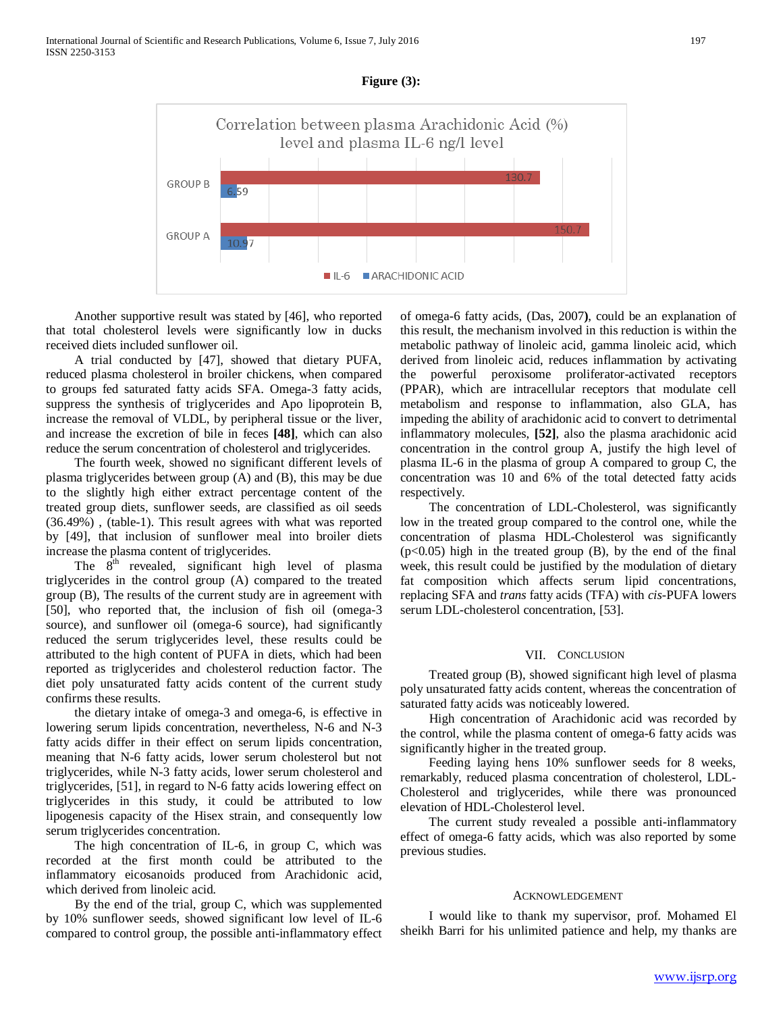

**Figure (3):**

 Another supportive result was stated by [46], who reported that total cholesterol levels were significantly low in ducks received diets included sunflower oil.

 A trial conducted by [47], showed that dietary PUFA, reduced plasma cholesterol in broiler chickens, when compared to groups fed saturated fatty acids SFA. Omega-3 fatty acids, suppress the synthesis of triglycerides and Apo lipoprotein B, increase the removal of VLDL, by peripheral tissue or the liver, and increase the excretion of bile in feces **[48]**, which can also reduce the serum concentration of cholesterol and triglycerides.

 The fourth week, showed no significant different levels of plasma triglycerides between group (A) and (B), this may be due to the slightly high either extract percentage content of the treated group diets, sunflower seeds, are classified as oil seeds (36.49%) , (table-1). This result agrees with what was reported by [49], that inclusion of sunflower meal into broiler diets increase the plasma content of triglycerides.

The  $8<sup>th</sup>$  revealed, significant high level of plasma triglycerides in the control group (A) compared to the treated group (B), The results of the current study are in agreement with [50], who reported that, the inclusion of fish oil (omega-3 source), and sunflower oil (omega-6 source), had significantly reduced the serum triglycerides level, these results could be attributed to the high content of PUFA in diets, which had been reported as triglycerides and cholesterol reduction factor. The diet poly unsaturated fatty acids content of the current study confirms these results.

 the dietary intake of omega-3 and omega-6, is effective in lowering serum lipids concentration, nevertheless, N-6 and N-3 fatty acids differ in their effect on serum lipids concentration, meaning that N-6 fatty acids, lower serum cholesterol but not triglycerides, while N-3 fatty acids, lower serum cholesterol and triglycerides, [51], in regard to N-6 fatty acids lowering effect on triglycerides in this study, it could be attributed to low lipogenesis capacity of the Hisex strain, and consequently low serum triglycerides concentration.

 The high concentration of IL-6, in group C, which was recorded at the first month could be attributed to the inflammatory eicosanoids produced from Arachidonic acid, which derived from linoleic acid.

 By the end of the trial, group C, which was supplemented by 10% sunflower seeds, showed significant low level of IL-6 compared to control group, the possible anti-inflammatory effect of omega-6 fatty acids, (Das, 2007**)**, could be an explanation of this result, the mechanism involved in this reduction is within the metabolic pathway of linoleic acid, gamma linoleic acid, which derived from linoleic acid, reduces inflammation by activating the powerful peroxisome proliferator-activated receptors (PPAR), which are intracellular receptors that modulate cell metabolism and response to inflammation, also GLA, has impeding the ability of arachidonic acid to convert to detrimental inflammatory molecules, **[52]**, also the plasma arachidonic acid concentration in the control group A, justify the high level of plasma IL-6 in the plasma of group A compared to group C, the concentration was 10 and 6% of the total detected fatty acids respectively.

 The concentration of LDL-Cholesterol, was significantly low in the treated group compared to the control one, while the concentration of plasma HDL-Cholesterol was significantly (p<0.05) high in the treated group (B), by the end of the final week, this result could be justified by the modulation of dietary fat composition which affects serum lipid concentrations, replacing SFA and *trans* fatty acids (TFA) with *cis*-PUFA lowers serum LDL-cholesterol concentration, [53].

#### VII. CONCLUSION

 Treated group (B), showed significant high level of plasma poly unsaturated fatty acids content, whereas the concentration of saturated fatty acids was noticeably lowered.

 High concentration of Arachidonic acid was recorded by the control, while the plasma content of omega-6 fatty acids was significantly higher in the treated group.

 Feeding laying hens 10% sunflower seeds for 8 weeks, remarkably, reduced plasma concentration of cholesterol, LDL-Cholesterol and triglycerides, while there was pronounced elevation of HDL-Cholesterol level.

 The current study revealed a possible anti-inflammatory effect of omega-6 fatty acids, which was also reported by some previous studies.

#### ACKNOWLEDGEMENT

 I would like to thank my supervisor, prof. Mohamed El sheikh Barri for his unlimited patience and help, my thanks are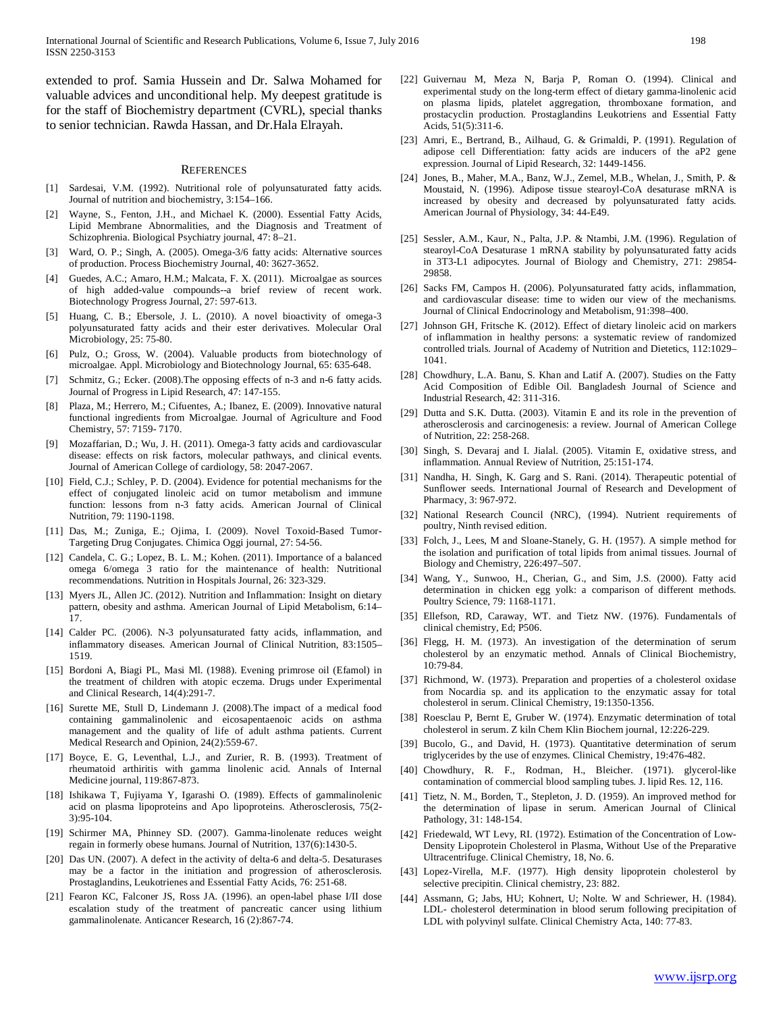extended to prof. Samia Hussein and Dr. Salwa Mohamed for valuable advices and unconditional help. My deepest gratitude is for the staff of Biochemistry department (CVRL), special thanks to senior technician. Rawda Hassan, and Dr.Hala Elrayah.

#### **REFERENCES**

- [1] Sardesai, V.M. (1992). Nutritional role of polyunsaturated fatty acids. Journal of nutrition and biochemistry, 3:154–166.
- Wayne, S., Fenton, J.H., and Michael K. (2000). Essential Fatty Acids, Lipid Membrane Abnormalities, and the Diagnosis and Treatment of Schizophrenia. Biological Psychiatry journal, 47: 8–21.
- [3] Ward, O. P.; Singh, A. (2005). Omega-3/6 fatty acids: Alternative sources of production. Process Biochemistry Journal, 40: 3627-3652.
- [4] Guedes, A.C.; Amaro, H.M.; Malcata, F. X. (2011). Microalgae as sources of high added-value compounds--a brief review of recent work. Biotechnology Progress Journal, 27: 597-613.
- [5] Huang, C. B.; Ebersole, J. L. (2010). A novel bioactivity of omega-3 polyunsaturated fatty acids and their ester derivatives. Molecular Oral Microbiology, 25: 75-80.
- [6] Pulz, O.; Gross, W. (2004). Valuable products from biotechnology of microalgae. Appl. Microbiology and Biotechnology Journal, 65: 635-648.
- Schmitz, G.; Ecker. (2008). The opposing effects of n-3 and n-6 fatty acids. Journal of Progress in Lipid Research, 47: 147-155.
- [8] Plaza, M.; Herrero, M.; Cifuentes, A.; Ibanez, E. (2009). Innovative natural functional ingredients from Microalgae. Journal of Agriculture and Food Chemistry, 57: 7159- 7170.
- [9] Mozaffarian, D.; Wu, J. H. (2011). Omega-3 fatty acids and cardiovascular disease: effects on risk factors, molecular pathways, and clinical events. Journal of American College of cardiology, 58: 2047-2067.
- [10] Field, C.J.; Schley, P. D. (2004). Evidence for potential mechanisms for the effect of conjugated linoleic acid on tumor metabolism and immune function: lessons from n-3 fatty acids. American Journal of Clinical Nutrition, 79: 1190-1198.
- [11] Das, M.; Zuniga, E.; Ojima, I. (2009). Novel Toxoid-Based Tumor-Targeting Drug Conjugates. Chimica Oggi journal, 27: 54-56.
- [12] Candela, C. G.; Lopez, B. L. M.; Kohen. (2011). Importance of a balanced omega 6/omega 3 ratio for the maintenance of health: Nutritional recommendations. Nutrition in Hospitals Journal, 26: 323-329.
- [13] Myers JL, Allen JC. (2012). Nutrition and Inflammation: Insight on dietary pattern, obesity and asthma. American Journal of Lipid Metabolism, 6:14– 17.
- [14] Calder PC. (2006). N-3 polyunsaturated fatty acids, inflammation, and inflammatory diseases. American Journal of Clinical Nutrition, 83:1505– 1519.
- [15] Bordoni A, Biagi PL, Masi Ml. (1988). Evening primrose oil (Efamol) in the treatment of children with atopic eczema. Drugs under Experimental and Clinical Research, 14(4):291-7.
- [16] Surette ME, Stull D, Lindemann J. (2008).The impact of a medical food containing gammalinolenic and eicosapentaenoic acids on asthma management and the quality of life of adult asthma patients. Current Medical Research and Opinion, 24(2):559-67.
- [17] Boyce, E. G, Leventhal, L.J., and Zurier, R. B. (1993). Treatment of rheumatoid arthiritis with gamma linolenic acid. Annals of Internal Medicine journal, 119:867-873.
- [18] Ishikawa T, Fujiyama Y, Igarashi O. (1989). Effects of gammalinolenic acid on plasma lipoproteins and Apo lipoproteins. Atherosclerosis, 75(2- 3):95-104.
- [19] Schirmer MA, Phinney SD. (2007). Gamma-linolenate reduces weight regain in formerly obese humans. Journal of Nutrition, 137(6):1430-5.
- [20] Das UN. (2007). A defect in the activity of delta-6 and delta-5. Desaturases may be a factor in the initiation and progression of atherosclerosis. Prostaglandins, Leukotrienes and Essential Fatty Acids, 76: 251-68.
- [21] Fearon KC, Falconer JS, Ross JA. (1996). an open-label phase I/II dose escalation study of the treatment of pancreatic cancer using lithium gammalinolenate. Anticancer Research, 16 (2):867-74.
- [22] Guivernau M, Meza N, Barja P, Roman O. (1994). Clinical and experimental study on the long-term effect of dietary gamma-linolenic acid on plasma lipids, platelet aggregation, thromboxane formation, and prostacyclin production. Prostaglandins Leukotriens and Essential Fatty Acids, 51(5):311-6.
- [23] Amri, E., Bertrand, B., Ailhaud, G. & Grimaldi, P. (1991). Regulation of adipose cell Differentiation: fatty acids are inducers of the aP2 gene expression. Journal of Lipid Research, 32: 1449-1456.
- [24] Jones, B., Maher, M.A., Banz, W.J., Zemel, M.B., Whelan, J., Smith, P. & Moustaid, N. (1996). Adipose tissue stearoyl-CoA desaturase mRNA is increased by obesity and decreased by polyunsaturated fatty acids. American Journal of Physiology, 34: 44-E49.
- [25] Sessler, A.M., Kaur, N., Palta, J.P. & Ntambi, J.M. (1996). Regulation of stearoyl-CoA Desaturase 1 mRNA stability by polyunsaturated fatty acids in 3T3-L1 adipocytes. Journal of Biology and Chemistry, 271: 29854- 29858.
- [26] Sacks FM, Campos H. (2006). Polyunsaturated fatty acids, inflammation, and cardiovascular disease: time to widen our view of the mechanisms. Journal of Clinical Endocrinology and Metabolism, 91:398–400.
- [27] Johnson GH, Fritsche K. (2012). Effect of dietary linoleic acid on markers of inflammation in healthy persons: a systematic review of randomized controlled trials. Journal of Academy of Nutrition and Dietetics, 112:1029– 1041.
- [28] Chowdhury, L.A. Banu, S. Khan and Latif A. (2007). Studies on the Fatty Acid Composition of Edible Oil. Bangladesh Journal of Science and Industrial Research, 42: 311-316.
- [29] Dutta and S.K. Dutta. (2003). Vitamin E and its role in the prevention of atherosclerosis and carcinogenesis: a review. Journal of American College of Nutrition, 22: 258-268.
- [30] Singh, S. Devaraj and I. Jialal. (2005). Vitamin E, oxidative stress, and inflammation. Annual Review of Nutrition, 25:151-174.
- [31] Nandha, H. Singh, K. Garg and S. Rani. (2014). Therapeutic potential of Sunflower seeds. International Journal of Research and Development of Pharmacy, 3: 967-972.
- [32] National Research Council (NRC), (1994). Nutrient requirements of poultry, Ninth revised edition.
- [33] Folch, J., Lees, M and Sloane-Stanely, G. H. (1957). A simple method for the isolation and purification of total lipids from animal tissues. Journal of Biology and Chemistry, 226:497–507.
- [34] Wang, Y., Sunwoo, H., Cherian, G., and Sim, J.S. (2000). Fatty acid determination in chicken egg yolk: a comparison of different methods. Poultry Science, 79: 1168-1171.
- [35] Ellefson, RD, Caraway, WT. and Tietz NW. (1976). Fundamentals of clinical chemistry, Ed; P506.
- [36] Flegg, H. M. (1973). An investigation of the determination of serum cholesterol by an enzymatic method. Annals of Clinical Biochemistry,  $10.79 - 84$
- [37] Richmond, W. (1973). Preparation and properties of a cholesterol oxidase from Nocardia sp. and its application to the enzymatic assay for total cholesterol in serum. Clinical Chemistry, 19:1350-1356.
- [38] Roesclau P, Bernt E, Gruber W. (1974). Enzymatic determination of total cholesterol in serum. Z kiln Chem Klin Biochem journal, 12:226-229.
- [39] Bucolo, G., and David, H. (1973). Quantitative determination of serum triglycerides by the use of enzymes. Clinical Chemistry, 19:476-482.
- [40] Chowdhury, R. F., Rodman, H., Bleicher. (1971). glycerol-like contamination of commercial blood sampling tubes. J. lipid Res. 12, 116.
- [41] Tietz, N. M., Borden, T., Stepleton, J. D. (1959). An improved method for the determination of lipase in serum. American Journal of Clinical Pathology, 31: 148-154.
- [42] Friedewald, WT Levy, RI. (1972). Estimation of the Concentration of Low-Density Lipoprotein Cholesterol in Plasma, Without Use of the Preparative Ultracentrifuge. Clinical Chemistry, 18, No. 6.
- [43] Lopez-Virella, M.F. (1977). High density lipoprotein cholesterol by selective precipitin. Clinical chemistry, 23: 882.
- [44] Assmann, G; Jabs, HU; Kohnert, U; Nolte. W and Schriewer, H. (1984). LDL- cholesterol determination in blood serum following precipitation of LDL with polyvinyl sulfate. Clinical Chemistry Acta, 140: 77-83.